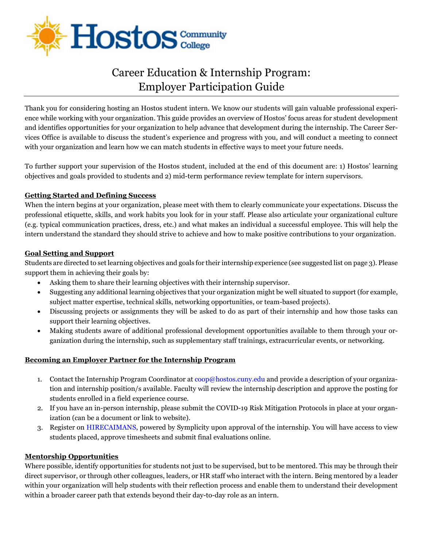

# Career Education & Internship Program: Employer Participation Guide

Thank you for considering hosting an Hostos student intern. We know our students will gain valuable professional experience while working with your organization. This guide provides an overview of Hostos' focus areas for student development and identifies opportunities for your organization to help advance that development during the internship. The Career Services Office is available to discuss the student's experience and progress with you, and will conduct a meeting to connect with your organization and learn how we can match students in effective ways to meet your future needs.

To further support your supervision of the Hostos student, included at the end of this document are: 1) Hostos' learning objectives and goals provided to students and 2) mid-term performance review template for intern supervisors.

## **Getting Started and Defining Success**

When the intern begins at your organization, please meet with them to clearly communicate your expectations. Discuss the professional etiquette, skills, and work habits you look for in your staff. Please also articulate your organizational culture (e.g. typical communication practices, dress, etc.) and what makes an individual a successful employee. This will help the intern understand the standard they should strive to achieve and how to make positive contributions to your organization.

#### **Goal Setting and Support**

Students are directed to set learning objectives and goals for their internship experience (see suggested list on page 3). Please support them in achieving their goals by:

- Asking them to share their learning objectives with their internship supervisor.
- Suggesting any additional learning objectives that your organization might be well situated to support (for example, subject matter expertise, technical skills, networking opportunities, or team-based projects).
- Discussing projects or assignments they will be asked to do as part of their internship and how those tasks can support their learning objectives.
- Making students aware of additional professional development opportunities available to them through your organization during the internship, such as supplementary staff trainings, extracurricular events, or networking.

#### **Becoming an Employer Partner for the Internship Program**

- 1. Contact the Internship Program Coordinator at  $\overline{cop\omega}$  hostos.cuny.edu and provide a description of your organization and internship position/s available. Faculty will review the internship description and approve the posting for students enrolled in a field experience course.
- 2. If you have an in-person internship, please submit the COVID-19 Risk Mitigation Protocols in place at your organization (can be a document or link to website).
- 3. Register on [HIRECAIMANS,](https://hostos-csm.symplicity.com/employers) powered by Symplicity upon approval of the internship. You will have access to view students placed, approve timesheets and submit final evaluations online.

#### **Mentorship Opportunities**

Where possible, identify opportunities for students not just to be supervised, but to be mentored. This may be through their direct supervisor, or through other colleagues, leaders, or HR staff who interact with the intern. Being mentored by a leader within your organization will help students with their reflection process and enable them to understand their development within a broader career path that extends beyond their day-to-day role as an intern.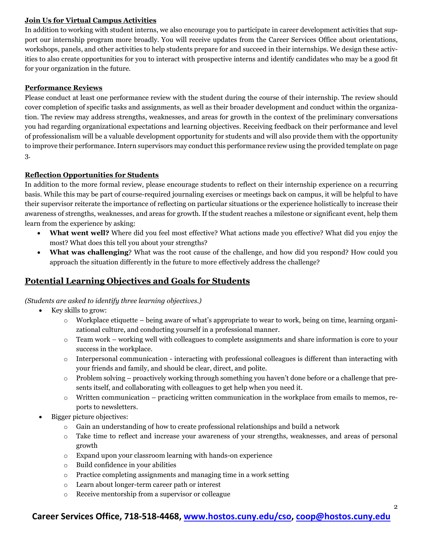## **Join Us for Virtual Campus Activities**

In addition to working with student interns, we also encourage you to participate in career development activities that support our internship program more broadly. You will receive updates from the Career Services Office about orientations, workshops, panels, and other activities to help students prepare for and succeed in their internships. We design these activities to also create opportunities for you to interact with prospective interns and identify candidates who may be a good fit for your organization in the future.

#### **Performance Reviews**

Please conduct at least one performance review with the student during the course of their internship. The review should cover completion of specific tasks and assignments, as well as their broader development and conduct within the organization. The review may address strengths, weaknesses, and areas for growth in the context of the preliminary conversations you had regarding organizational expectations and learning objectives. Receiving feedback on their performance and level of professionalism will be a valuable development opportunity for students and will also provide them with the opportunity to improve their performance.Intern supervisors may conduct this performance review using the provided template on page 3.

#### **Reflection Opportunities for Students**

In addition to the more formal review, please encourage students to reflect on their internship experience on a recurring basis. While this may be part of course-required journaling exercises or meetings back on campus, it will be helpful to have their supervisor reiterate the importance of reflecting on particular situations or the experience holistically to increase their awareness of strengths, weaknesses, and areas for growth. If the student reaches a milestone or significant event, help them learn from the experience by asking:

- **What went well?** Where did you feel most effective? What actions made you effective? What did you enjoy the most? What does this tell you about your strengths?
- **What was challenging**? What was the root cause of the challenge, and how did you respond? How could you approach the situation differently in the future to more effectively address the challenge?

# **Potential Learning Objectives and Goals for Students**

*(Students are asked to identify three learning objectives.)* 

- Key skills to grow:
	- $\circ$  Workplace etiquette being aware of what's appropriate to wear to work, being on time, learning organizational culture, and conducting yourself in a professional manner.
	- $\circ$  Team work working well with colleagues to complete assignments and share information is core to your success in the workplace.
	- $\circ$  Interpersonal communication interacting with professional colleagues is different than interacting with your friends and family, and should be clear, direct, and polite.
	- $\circ$  Problem solving proactively working through something you haven't done before or a challenge that presents itself, and collaborating with colleagues to get help when you need it.
	- $\circ$  Written communication practicing written communication in the workplace from emails to memos, reports to newsletters.
- Bigger picture objectives:
	- $\circ$  Gain an understanding of how to create professional relationships and build a network
	- o Take time to reflect and increase your awareness of your strengths, weaknesses, and areas of personal growth
	- o Expand upon your classroom learning with hands-on experience
	- o Build confidence in your abilities
	- o Practice completing assignments and managing time in a work setting
	- o Learn about longer-term career path or interest
	- o Receive mentorship from a supervisor or colleague

# **Career Services Office, 718-518-4468, [www.hostos.cuny.edu/cso,](http://www.hostos.cuny.edu/cso) [coop@hostos.cuny.edu](mailto:careerservices@hostos.cuny.edu)**